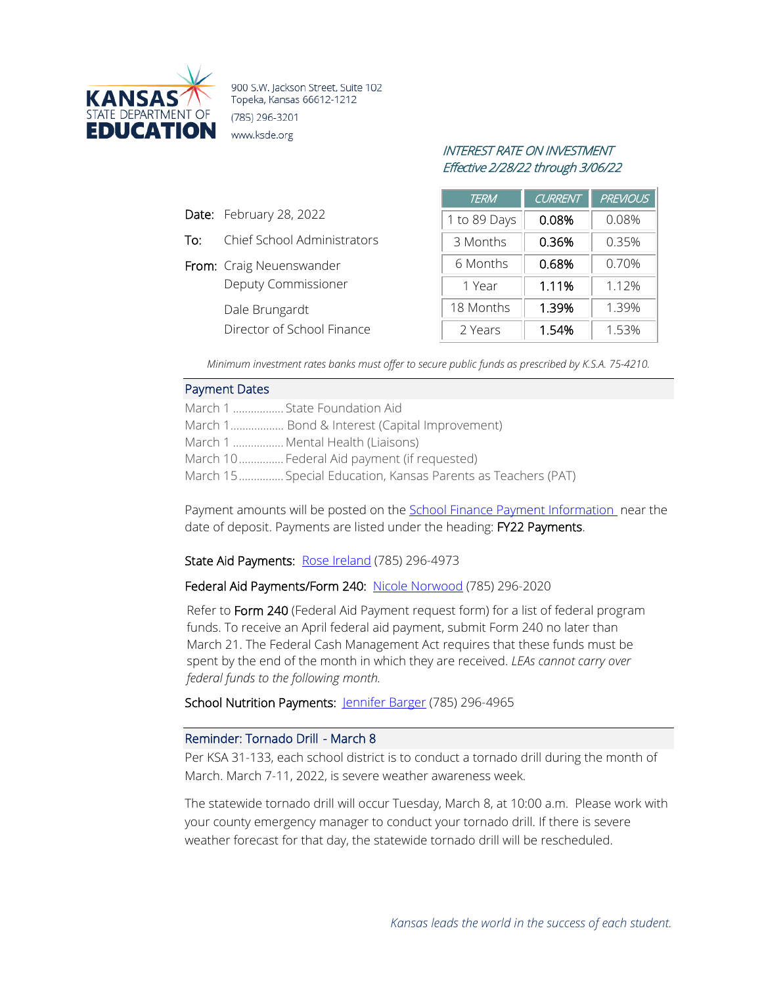

900 S.W. Jackson Street, Suite 102 Topeka, Kansas 66612-1212 (785) 296-3201 www.ksde.org

# INTEREST RATE ON INVESTMENT Effective 2/28/22 through 3/06/22

| <b>TERM</b>  | <b>CURRENT</b> | <b>PREVIOUS</b> |
|--------------|----------------|-----------------|
| 1 to 89 Days | 0.08%          | 0.08%           |
| 3 Months     | 0.36%          | 0.35%           |
| 6 Months     | 0.68%          | 0.70%           |
| 1 Year       | 1.11%          | 1.12%           |
| 18 Months    | 1.39%          | 1.39%           |
| 2 Years      | 1.54%          | 1.53%           |

*Minimum investment rates banks must offer to secure public funds as prescribed by K.S.A. 75-4210.*

#### Payment Dates

Date: February 28, 2022

From: Craig Neuenswander

Dale Brungardt

To: Chief School Administrators

Deputy Commissioner

Director of School Finance

| March 1  State Foundation Aid                                |
|--------------------------------------------------------------|
| March 1 Bond & Interest (Capital Improvement)                |
| March 1  Mental Health (Liaisons)                            |
| March 10 Federal Aid payment (if requested)                  |
| March 15 Special Education, Kansas Parents as Teachers (PAT) |

Payment amounts will be posted on the School Finance [Payment Information](http://www.ksde.org/Agency/Fiscal-and-Administrative-Services/School-Finance/Payment-Information) near the date of deposit. Payments are listed under the heading: FY22 Payments.

## State Aid Payments: [Rose Ireland](mailto:rireland@ksde.org) (785) 296-4973

## Federal Aid Payments/Form 240: [Nicole Norwood](mailto:nnorwood@ksde.org) (785) 296-2020

Refer to Form 240 (Federal Aid Payment request form) for a list of federal program funds. To receive an April federal aid payment, submit Form 240 no later than March 21. The Federal Cash Management Act requires that these funds must be spent by the end of the month in which they are received. *LEAs cannot carry over federal funds to the following month.*

School Nutrition Payments: [Jennifer Barger](mailto:jbarger@ksde.org) (785) 296-4965

### Reminder: Tornado Drill - March 8

Per KSA 31-133, each school district is to conduct a tornado drill during the month of March. March 7-11, 2022, is severe weather awareness week.

The statewide tornado drill will occur Tuesday, March 8, at 10:00 a.m. Please work with your county emergency manager to conduct your tornado drill. If there is severe weather forecast for that day, the statewide tornado drill will be rescheduled.